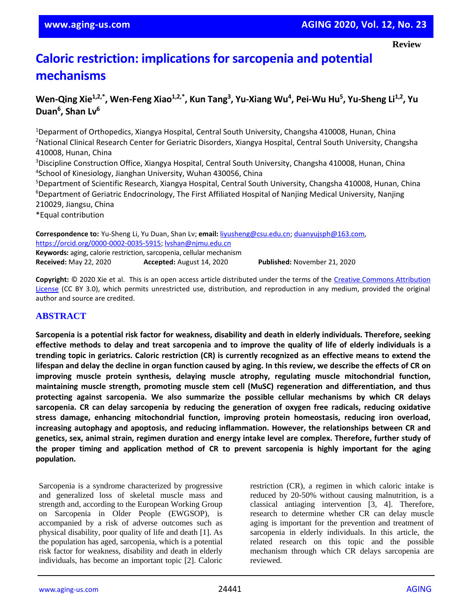# **Caloric restriction: implications for sarcopenia and potential mechanisms**

## Wen-Qing Xie<sup>1,2,\*</sup>, Wen-Feng Xiao<sup>1,2,\*</sup>, Kun Tang<sup>3</sup>, Yu-Xiang Wu<sup>4</sup>, Pei-Wu Hu<sup>5</sup>, Yu-Sheng Li<sup>1,2</sup>, Yu **Duan<sup>6</sup> , Shan Lv<sup>6</sup>**

<sup>1</sup>Deparment of Orthopedics, Xiangya Hospital, Central South University, Changsha 410008, Hunan, China <sup>2</sup>National Clinical Research Center for Geriatric Disorders, Xiangya Hospital, Central South University, Changsha 410008, Hunan, China <sup>3</sup>Discipline Construction Office, Xiangya Hospital, Central South University, Changsha 410008, Hunan, China 4 School of Kinesiology, Jianghan University, Wuhan 430056, China <sup>5</sup>Department of Scientific Research, Xiangya Hospital, Central South University, Changsha 410008, Hunan, China <sup>6</sup>Department of Geriatric Endocrinology, The First Affiliated Hospital of Nanjing Medical University, Nanjing 210029, Jiangsu, China \*Equal contribution **Correspondence to:** Yu-Sheng Li, Yu Duan, Shan Lv; **email:** [liyusheng@csu.edu.cn;](mailto:liyusheng@csu.edu.cn) [duanyujsph@163.com,](mailto:duanyujsph@163.com)

[https://orcid.org/0000-0002-0035-5915;](https://orcid.org/0000-0002-0035-5915) [lvshan@njmu.edu.cn](mailto:lvshan@njmu.edu.cn) **Keywords:** aging, calorie restriction, sarcopenia, cellular mechanism **Received:** May 22, 2020 **Accepted:** August 14, 2020 **Published:** November 21, 2020

**Copyright:** © 2020 Xie et al. This is an open access article distributed under the terms of the [Creative Commons Attribution](https://creativecommons.org/licenses/by/3.0/)  [License](https://creativecommons.org/licenses/by/3.0/) (CC BY 3.0), which permits unrestricted use, distribution, and reproduction in any medium, provided the original author and source are credited.

### **ABSTRACT**

Sarcopenia is a potential risk factor for weakness, disability and death in elderly individuals. Therefore, seeking effective methods to delay and treat sarcopenia and to improve the quality of life of elderly individuals is a trending topic in geriatrics. Caloric restriction (CR) is currently recognized as an effective means to extend the lifespan and delay the decline in organ function caused by aging. In this review, we describe the effects of CR on **improving muscle protein synthesis, delaying muscle atrophy, regulating muscle mitochondrial function, maintaining muscle strength, promoting muscle stem cell (MuSC) regeneration and differentiation, and thus protecting against sarcopenia. We also summarize the possible cellular mechanisms by which CR delays sarcopenia. CR can delay sarcopenia by reducing the generation of oxygen free radicals, reducing oxidative stress damage, enhancing mitochondrial function, improving protein homeostasis, reducing iron overload, increasing autophagy and apoptosis, and reducing inflammation. However, the relationships between CR and genetics, sex, animal strain, regimen duration and energy intake level are complex. Therefore, further study of the proper timing and application method of CR to prevent sarcopenia is highly important for the aging population.**

Sarcopenia is a syndrome characterized by progressive and generalized loss of skeletal muscle mass and strength and, according to the European Working Group on Sarcopenia in Older People (EWGSOP), is accompanied by a risk of adverse outcomes such as physical disability, poor quality of life and death [1]. As the population has aged, sarcopenia, which is a potential risk factor for weakness, disability and death in elderly individuals, has become an important topic [2]. Caloric

restriction (CR), a regimen in which caloric intake is reduced by 20-50% without causing malnutrition, is a classical antiaging intervention [3, 4]. Therefore, research to determine whether CR can delay muscle aging is important for the prevention and treatment of sarcopenia in elderly individuals. In this article, the related research on this topic and the possible mechanism through which CR delays sarcopenia are reviewed.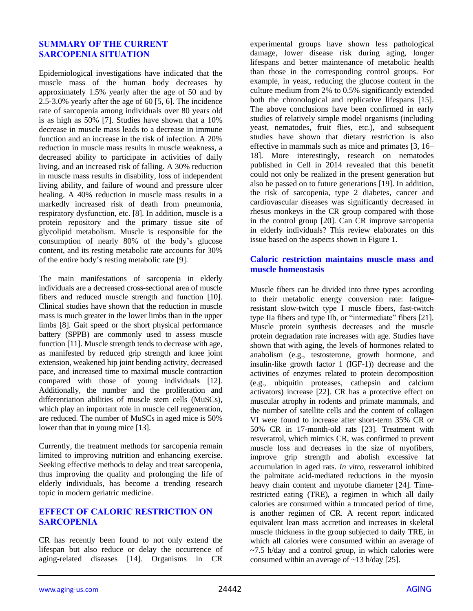#### **SUMMARY OF THE CURRENT SARCOPENIA SITUATION**

Epidemiological investigations have indicated that the muscle mass of the human body decreases by approximately 1.5% yearly after the age of 50 and by 2.5-3.0% yearly after the age of 60 [5, 6]. The incidence rate of sarcopenia among individuals over 80 years old is as high as 50% [7]. Studies have shown that a 10% decrease in muscle mass leads to a decrease in immune function and an increase in the risk of infection. A 20% reduction in muscle mass results in muscle weakness, a decreased ability to participate in activities of daily living, and an increased risk of falling. A 30% reduction in muscle mass results in disability, loss of independent living ability, and failure of wound and pressure ulcer healing. A 40% reduction in muscle mass results in a markedly increased risk of death from pneumonia, respiratory dysfunction, etc. [8]. In addition, muscle is a protein repository and the primary tissue site of glycolipid metabolism. Muscle is responsible for the consumption of nearly 80% of the body's glucose content, and its resting metabolic rate accounts for 30% of the entire body's resting metabolic rate [9].

The main manifestations of sarcopenia in elderly individuals are a decreased cross-sectional area of muscle fibers and reduced muscle strength and function [10]. Clinical studies have shown that the reduction in muscle mass is much greater in the lower limbs than in the upper limbs [8]. Gait speed or the short physical performance battery (SPPB) are commonly used to assess muscle function [11]. Muscle strength tends to decrease with age, as manifested by reduced grip strength and knee joint extension, weakened hip joint bending activity, decreased pace, and increased time to maximal muscle contraction compared with those of young individuals [12]. Additionally, the number and the proliferation and differentiation abilities of muscle stem cells (MuSCs), which play an important role in muscle cell regeneration, are reduced. The number of MuSCs in aged mice is 50% lower than that in young mice [13].

Currently, the treatment methods for sarcopenia remain limited to improving nutrition and enhancing exercise. Seeking effective methods to delay and treat sarcopenia, thus improving the quality and prolonging the life of elderly individuals, has become a trending research topic in modern geriatric medicine.

#### **EFFECT OF CALORIC RESTRICTION ON SARCOPENIA**

CR has recently been found to not only extend the lifespan but also reduce or delay the occurrence of aging-related diseases [14]. Organisms in CR experimental groups have shown less pathological damage, lower disease risk during aging, longer lifespans and better maintenance of metabolic health than those in the corresponding control groups. For example, in yeast, reducing the glucose content in the culture medium from 2% to 0.5% significantly extended both the chronological and replicative lifespans [15]. The above conclusions have been confirmed in early studies of relatively simple model organisms (including yeast, nematodes, fruit flies, etc.), and subsequent studies have shown that dietary restriction is also effective in mammals such as mice and primates [3, 16– 18]. More interestingly, research on nematodes published in Cell in 2014 revealed that this benefit could not only be realized in the present generation but also be passed on to future generations [19]. In addition, the risk of sarcopenia, type 2 diabetes, cancer and cardiovascular diseases was significantly decreased in rhesus monkeys in the CR group compared with those in the control group [20]. Can CR improve sarcopenia in elderly individuals? This review elaborates on this issue based on the aspects shown in Figure 1.

#### **Caloric restriction maintains muscle mass and muscle homeostasis**

Muscle fibers can be divided into three types according to their metabolic energy conversion rate: fatigueresistant slow-twitch type I muscle fibers, fast-twitch type IIa fibers and type IIb, or "intermediate" fibers [21]. Muscle protein synthesis decreases and the muscle protein degradation rate increases with age. Studies have shown that with aging, the levels of hormones related to anabolism (e.g., testosterone, growth hormone, and insulin-like growth factor 1 (IGF-1)) decrease and the activities of enzymes related to protein decomposition (e.g., ubiquitin proteases, cathepsin and calcium activators) increase [22]. CR has a protective effect on muscular atrophy in rodents and primate mammals, and the number of satellite cells and the content of collagen VI were found to increase after short-term 35% CR or 50% CR in 17-month-old rats [23]. Treatment with resveratrol, which mimics CR, was confirmed to prevent muscle loss and decreases in the size of myofibers, improve grip strength and abolish excessive fat accumulation in aged rats. *In vitro*, resveratrol inhibited the palmitate acid-mediated reductions in the myosin heavy chain content and myotube diameter [24]. Timerestricted eating (TRE), a regimen in which all daily calories are consumed within a truncated period of time, is another regimen of CR. A recent report indicated equivalent lean mass accretion and increases in skeletal muscle thickness in the group subjected to daily TRE, in which all calories were consumed within an average of  $\sim$ 7.5 h/day and a control group, in which calories were consumed within an average of ~13 h/day [25].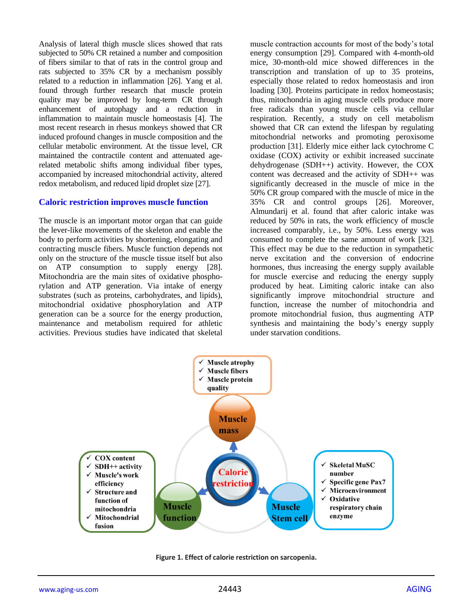Analysis of lateral thigh muscle slices showed that rats subjected to 50% CR retained a number and composition of fibers similar to that of rats in the control group and rats subjected to 35% CR by a mechanism possibly related to a reduction in inflammation [26]. Yang et al. found through further research that muscle protein quality may be improved by long-term CR through enhancement of autophagy and a reduction in inflammation to maintain muscle homeostasis [4]. The most recent research in rhesus monkeys showed that CR induced profound changes in muscle composition and the cellular metabolic environment. At the tissue level, CR maintained the contractile content and attenuated agerelated metabolic shifts among individual fiber types, accompanied by increased mitochondrial activity, altered redox metabolism, and reduced lipid droplet size [27].

#### **Caloric restriction improves muscle function**

The muscle is an important motor organ that can guide the lever-like movements of the skeleton and enable the body to perform activities by shortening, elongating and contracting muscle fibers. Muscle function depends not only on the structure of the muscle tissue itself but also on ATP consumption to supply energy [28]. Mitochondria are the main sites of oxidative phosphorylation and ATP generation. Via intake of energy substrates (such as proteins, carbohydrates, and lipids), mitochondrial oxidative phosphorylation and ATP generation can be a source for the energy production, maintenance and metabolism required for athletic activities. Previous studies have indicated that skeletal

muscle contraction accounts for most of the body's total energy consumption [29]. Compared with 4-month-old mice, 30-month-old mice showed differences in the transcription and translation of up to 35 proteins, especially those related to redox homeostasis and iron loading [30]. Proteins participate in redox homeostasis; thus, mitochondria in aging muscle cells produce more free radicals than young muscle cells via cellular respiration. Recently, a study on cell metabolism showed that CR can extend the lifespan by regulating mitochondrial networks and promoting peroxisome production [31]. Elderly mice either lack cytochrome C oxidase (COX) activity or exhibit increased succinate dehydrogenase (SDH++) activity. However, the COX content was decreased and the activity of SDH++ was significantly decreased in the muscle of mice in the 50% CR group compared with the muscle of mice in the 35% CR and control groups [26]. Moreover, Almundarij et al. found that after caloric intake was reduced by 50% in rats, the work efficiency of muscle increased comparably, i.e., by 50%. Less energy was consumed to complete the same amount of work [32]. This effect may be due to the reduction in sympathetic nerve excitation and the conversion of endocrine hormones, thus increasing the energy supply available for muscle exercise and reducing the energy supply produced by heat. Limiting caloric intake can also significantly improve mitochondrial structure and function, increase the number of mitochondria and promote mitochondrial fusion, thus augmenting ATP synthesis and maintaining the body's energy supply under starvation conditions.



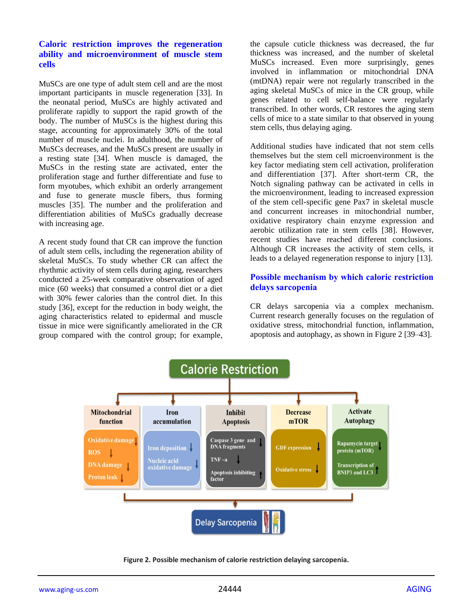#### **Caloric restriction improves the regeneration ability and microenvironment of muscle stem cells**

MuSCs are one type of adult stem cell and are the most important participants in muscle regeneration [33]. In the neonatal period, MuSCs are highly activated and proliferate rapidly to support the rapid growth of the body. The number of MuSCs is the highest during this stage, accounting for approximately 30% of the total number of muscle nuclei. In adulthood, the number of MuSCs decreases, and the MuSCs present are usually in a resting state [34]. When muscle is damaged, the MuSCs in the resting state are activated, enter the proliferation stage and further differentiate and fuse to form myotubes, which exhibit an orderly arrangement and fuse to generate muscle fibers, thus forming muscles [35]. The number and the proliferation and differentiation abilities of MuSCs gradually decrease with increasing age.

A recent study found that CR can improve the function of adult stem cells, including the regeneration ability of skeletal MuSCs. To study whether CR can affect the rhythmic activity of stem cells during aging, researchers conducted a 25-week comparative observation of aged mice (60 weeks) that consumed a control diet or a diet with 30% fewer calories than the control diet. In this study [36], except for the reduction in body weight, the aging characteristics related to epidermal and muscle tissue in mice were significantly ameliorated in the CR group compared with the control group; for example, the capsule cuticle thickness was decreased, the fur thickness was increased, and the number of skeletal MuSCs increased. Even more surprisingly, genes involved in inflammation or mitochondrial DNA (mtDNA) repair were not regularly transcribed in the aging skeletal MuSCs of mice in the CR group, while genes related to cell self-balance were regularly transcribed. In other words, CR restores the aging stem cells of mice to a state similar to that observed in young stem cells, thus delaying aging.

Additional studies have indicated that not stem cells themselves but the stem cell microenvironment is the key factor mediating stem cell activation, proliferation and differentiation [37]. After short-term CR, the Notch signaling pathway can be activated in cells in the microenvironment, leading to increased expression of the stem cell-specific gene Pax7 in skeletal muscle and concurrent increases in mitochondrial number, oxidative respiratory chain enzyme expression and aerobic utilization rate in stem cells [38]. However, recent studies have reached different conclusions. Although CR increases the activity of stem cells, it leads to a delayed regeneration response to injury [13].

#### **Possible mechanism by which caloric restriction delays sarcopenia**

CR delays sarcopenia via a complex mechanism. Current research generally focuses on the regulation of oxidative stress, mitochondrial function, inflammation, apoptosis and autophagy, as shown in Figure 2 [39–43].



**Figure 2. Possible mechanism of calorie restriction delaying sarcopenia.**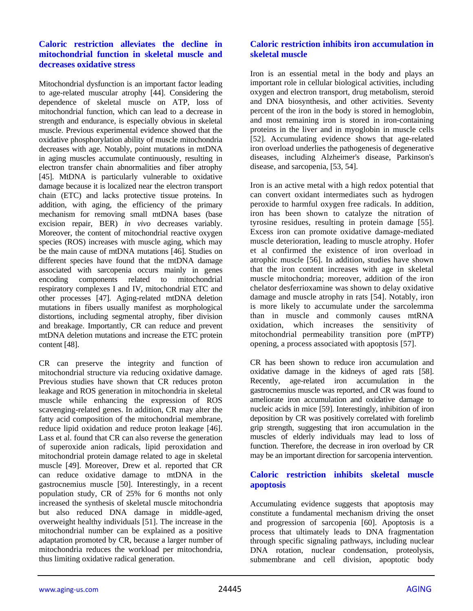#### **Caloric restriction alleviates the decline in mitochondrial function in skeletal muscle and decreases oxidative stress**

Mitochondrial dysfunction is an important factor leading to age-related muscular atrophy [44]. Considering the dependence of skeletal muscle on ATP, loss of mitochondrial function, which can lead to a decrease in strength and endurance, is especially obvious in skeletal muscle. Previous experimental evidence showed that the oxidative phosphorylation ability of muscle mitochondria decreases with age. Notably, point mutations in mtDNA in aging muscles accumulate continuously, resulting in electron transfer chain abnormalities and fiber atrophy [45]. MtDNA is particularly vulnerable to oxidative damage because it is localized near the electron transport chain (ETC) and lacks protective tissue proteins. In addition, with aging, the efficiency of the primary mechanism for removing small mtDNA bases (base excision repair, BER) *in vivo* decreases variably. Moreover, the content of mitochondrial reactive oxygen species (ROS) increases with muscle aging, which may be the main cause of mtDNA mutations [46]. Studies on different species have found that the mtDNA damage associated with sarcopenia occurs mainly in genes encoding components related to mitochondrial respiratory complexes I and IV, mitochondrial ETC and other processes [47]. Aging-related mtDNA deletion mutations in fibers usually manifest as morphological distortions, including segmental atrophy, fiber division and breakage. Importantly, CR can reduce and prevent mtDNA deletion mutations and increase the ETC protein content [48].

CR can preserve the integrity and function of mitochondrial structure via reducing oxidative damage. Previous studies have shown that CR reduces proton leakage and ROS generation in mitochondria in skeletal muscle while enhancing the expression of ROS scavenging-related genes. In addition, CR may alter the fatty acid composition of the mitochondrial membrane, reduce lipid oxidation and reduce proton leakage [46]. Lass et al. found that CR can also reverse the generation of superoxide anion radicals, lipid peroxidation and mitochondrial protein damage related to age in skeletal muscle [49]. Moreover, Drew et al. reported that CR can reduce oxidative damage to mtDNA in the gastrocnemius muscle [50]. Interestingly, in a recent population study, CR of 25% for 6 months not only increased the synthesis of skeletal muscle mitochondria but also reduced DNA damage in middle-aged, overweight healthy individuals [51]. The increase in the mitochondrial number can be explained as a positive adaptation promoted by CR, because a larger number of mitochondria reduces the workload per mitochondria, thus limiting oxidative radical generation.

#### **Caloric restriction inhibits iron accumulation in skeletal muscle**

Iron is an essential metal in the body and plays an important role in cellular biological activities, including oxygen and electron transport, drug metabolism, steroid and DNA biosynthesis, and other activities. Seventy percent of the iron in the body is stored in hemoglobin, and most remaining iron is stored in iron-containing proteins in the liver and in myoglobin in muscle cells [52]. Accumulating evidence shows that age-related iron overload underlies the pathogenesis of degenerative diseases, including Alzheimer's disease, Parkinson's disease, and sarcopenia, [53, 54].

Iron is an active metal with a high redox potential that can convert oxidant intermediates such as hydrogen peroxide to harmful oxygen free radicals. In addition, iron has been shown to catalyze the nitration of tyrosine residues, resulting in protein damage [55]. Excess iron can promote oxidative damage-mediated muscle deterioration, leading to muscle atrophy. Hofer et al confirmed the existence of iron overload in atrophic muscle [56]. In addition, studies have shown that the iron content increases with age in skeletal muscle mitochondria; moreover, addition of the iron chelator desferrioxamine was shown to delay oxidative damage and muscle atrophy in rats [54]. Notably, iron is more likely to accumulate under the sarcolemma than in muscle and commonly causes mtRNA oxidation, which increases the sensitivity of mitochondrial permeability transition pore (mPTP) opening, a process associated with apoptosis [57].

CR has been shown to reduce iron accumulation and oxidative damage in the kidneys of aged rats [58]. Recently, age-related iron accumulation in the gastrocnemius muscle was reported, and CR was found to ameliorate iron accumulation and oxidative damage to nucleic acids in mice [59]. Interestingly, inhibition of iron deposition by CR was positively correlated with forelimb grip strength, suggesting that iron accumulation in the muscles of elderly individuals may lead to loss of function. Therefore, the decrease in iron overload by CR may be an important direction for sarcopenia intervention.

#### **Caloric restriction inhibits skeletal muscle apoptosis**

Accumulating evidence suggests that apoptosis may constitute a fundamental mechanism driving the onset and progression of sarcopenia [60]. Apoptosis is a process that ultimately leads to DNA fragmentation through specific signaling pathways, including nuclear DNA rotation, nuclear condensation, proteolysis, submembrane and cell division, apoptotic body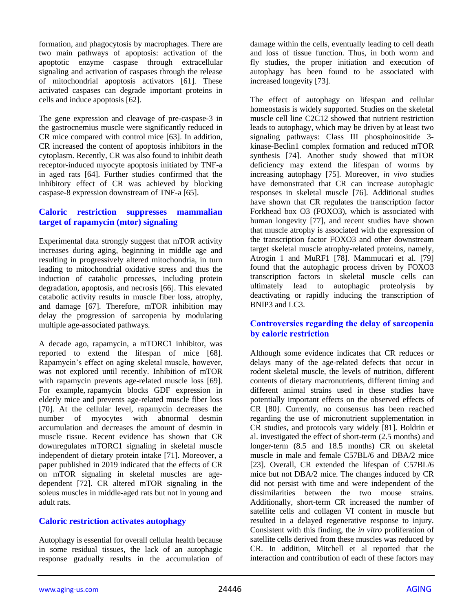formation, and phagocytosis by macrophages. There are two main pathways of apoptosis: activation of the apoptotic enzyme caspase through extracellular signaling and activation of caspases through the release of mitochondrial apoptosis activators [61]. These activated caspases can degrade important proteins in cells and induce apoptosis [62].

The gene expression and cleavage of pre-caspase-3 in the gastrocnemius muscle were significantly reduced in CR mice compared with control mice [63]. In addition, CR increased the content of apoptosis inhibitors in the cytoplasm. Recently, CR was also found to inhibit death receptor-induced myocyte apoptosis initiated by TNF-a in aged rats [64]. Further studies confirmed that the inhibitory effect of CR was achieved by blocking caspase-8 expression downstream of TNF-a [65].

#### **Caloric restriction suppresses mammalian target of rapamycin (mtor) signaling**

Experimental data strongly suggest that mTOR activity increases during aging, beginning in middle age and resulting in progressively altered mitochondria, in turn leading to mitochondrial oxidative stress and thus the induction of catabolic processes, including protein degradation, apoptosis, and necrosis [66]. This elevated catabolic activity results in muscle fiber loss, atrophy, and damage [67]. Therefore, mTOR inhibition may delay the progression of sarcopenia by modulating multiple age-associated pathways.

A decade ago, rapamycin, a mTORC1 inhibitor, was reported to extend the lifespan of mice [68]. Rapamycin's effect on aging skeletal muscle, however, was not explored until recently. Inhibition of mTOR with rapamycin prevents age-related muscle loss [69]. For example, rapamycin blocks GDF expression in elderly mice and prevents age-related muscle fiber loss [70]. At the cellular level, rapamycin decreases the number of myocytes with abnormal desmin accumulation and decreases the amount of desmin in muscle tissue. Recent evidence has shown that CR downregulates mTORC1 signaling in skeletal muscle independent of dietary protein intake [71]. Moreover, a paper published in 2019 indicated that the effects of CR on mTOR signaling in skeletal muscles are agedependent [72]. CR altered mTOR signaling in the soleus muscles in middle-aged rats but not in young and adult rats.

#### **Caloric restriction activates autophagy**

Autophagy is essential for overall cellular health because in some residual tissues, the lack of an autophagic response gradually results in the accumulation of damage within the cells, eventually leading to cell death and loss of tissue function. Thus, in both worm and fly studies, the proper initiation and execution of autophagy has been found to be associated with increased longevity [73].

The effect of autophagy on lifespan and cellular homeostasis is widely supported. Studies on the skeletal muscle cell line C2C12 showed that nutrient restriction leads to autophagy, which may be driven by at least two signaling pathways: Class III phosphoinositide 3 kinase-Beclin1 complex formation and reduced mTOR synthesis [74]. Another study showed that mTOR deficiency may extend the lifespan of worms by increasing autophagy [75]. Moreover, *in vivo* studies have demonstrated that CR can increase autophagic responses in skeletal muscle [76]. Additional studies have shown that CR regulates the transcription factor Forkhead box O3 (FOXO3), which is associated with human longevity [77], and recent studies have shown that muscle atrophy is associated with the expression of the transcription factor FOXO3 and other downstream target skeletal muscle atrophy-related proteins, namely, Atrogin 1 and MuRF1 [78]. Mammucari et al. [79] found that the autophagic process driven by FOXO3 transcription factors in skeletal muscle cells can ultimately lead to autophagic proteolysis by deactivating or rapidly inducing the transcription of BNIP3 and LC3.

#### **Controversies regarding the delay of sarcopenia by caloric restriction**

Although some evidence indicates that CR reduces or delays many of the age-related defects that occur in rodent skeletal muscle, the levels of nutrition, different contents of dietary macronutrients, different timing and different animal strains used in these studies have potentially important effects on the observed effects of CR [80]. Currently, no consensus has been reached regarding the use of micronutrient supplementation in CR studies, and protocols vary widely [81]. Boldrin et al. investigated the effect of short-term (2.5 months) and longer-term (8.5 and 18.5 months) CR on skeletal muscle in male and female C57BL/6 and DBA/2 mice [23]. Overall, CR extended the lifespan of C57BL/6 mice but not DBA/2 mice. The changes induced by CR did not persist with time and were independent of the dissimilarities between the two mouse strains. Additionally, short-term CR increased the number of satellite cells and collagen VI content in muscle but resulted in a delayed regenerative response to injury. Consistent with this finding, the *in vitro* proliferation of satellite cells derived from these muscles was reduced by CR. In addition, Mitchell et al reported that the interaction and contribution of each of these factors may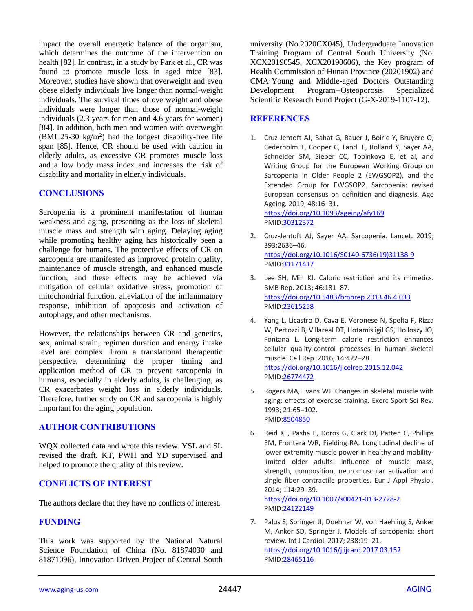impact the overall energetic balance of the organism, which determines the outcome of the intervention on health [82]. In contrast, in a study by Park et al., CR was found to promote muscle loss in aged mice [83]. Moreover, studies have shown that overweight and even obese elderly individuals live longer than normal-weight individuals. The survival times of overweight and obese individuals were longer than those of normal-weight individuals (2.3 years for men and 4.6 years for women) [84]. In addition, both men and women with overweight (BMI 25-30  $\text{kg/m}^2$ ) had the longest disability-free life span [85]. Hence, CR should be used with caution in elderly adults, as excessive CR promotes muscle loss and a low body mass index and increases the risk of disability and mortality in elderly individuals.

#### **CONCLUSIONS**

Sarcopenia is a prominent manifestation of human weakness and aging, presenting as the loss of skeletal muscle mass and strength with aging. Delaying aging while promoting healthy aging has historically been a challenge for humans. The protective effects of CR on sarcopenia are manifested as improved protein quality, maintenance of muscle strength, and enhanced muscle function, and these effects may be achieved via mitigation of cellular oxidative stress, promotion of mitochondrial function, alleviation of the inflammatory response, inhibition of apoptosis and activation of autophagy, and other mechanisms.

However, the relationships between CR and genetics, sex, animal strain, regimen duration and energy intake level are complex. From a translational therapeutic perspective, determining the proper timing and application method of CR to prevent sarcopenia in humans, especially in elderly adults, is challenging, as CR exacerbates weight loss in elderly individuals. Therefore, further study on CR and sarcopenia is highly important for the aging population.

#### **AUTHOR CONTRIBUTIONS**

WQX collected data and wrote this review. YSL and SL revised the draft. KT, PWH and YD supervised and helped to promote the quality of this review.

#### **CONFLICTS OF INTEREST**

The authors declare that they have no conflicts of interest.

#### **FUNDING**

This work was supported by the National Natural Science Foundation of China (No. 81874030 and 81871096), Innovation-Driven Project of Central South

university (No.2020CX045), Undergraduate Innovation Training Program of Central South University (No. XCX20190545, XCX20190606), the Key program of Health Commission of Hunan Province (20201902) and CMA·Young and Middle-aged Doctors Outstanding Development Program--Osteoporosis Specialized Scientific Research Fund Project (G-X-2019-1107-12).

#### **REFERENCES**

1. Cruz-Jentoft AJ, Bahat G, Bauer J, Boirie Y, Bruyère O, Cederholm T, Cooper C, Landi F, Rolland Y, Sayer AA, Schneider SM, Sieber CC, Topinkova E, et al, and Writing Group for the European Working Group on Sarcopenia in Older People 2 (EWGSOP2), and the Extended Group for EWGSOP2. Sarcopenia: revised European consensus on definition and diagnosis. Age Ageing. 2019; 48:16–31.

<https://doi.org/10.1093/ageing/afy169> PMI[D:30312372](https://pubmed.ncbi.nlm.nih.gov/30312372)

- 2. Cruz-Jentoft AJ, Sayer AA. Sarcopenia. Lancet. 2019; 393:2636–46. [https://doi.org/10.1016/S0140-6736\(19\)31138-9](https://doi.org/10.1016/S0140-6736(19)31138-9) PMI[D:31171417](https://pubmed.ncbi.nlm.nih.gov/31171417)
- 3. Lee SH, Min KJ. Caloric restriction and its mimetics. BMB Rep. 2013; 46:181–87. <https://doi.org/10.5483/bmbrep.2013.46.4.033> PMI[D:23615258](https://pubmed.ncbi.nlm.nih.gov/23615258)
- 4. Yang L, Licastro D, Cava E, Veronese N, Spelta F, Rizza W, Bertozzi B, Villareal DT, Hotamisligil GS, Holloszy JO, Fontana L. Long-term calorie restriction enhances cellular quality-control processes in human skeletal muscle. Cell Rep. 2016; 14:422–28. <https://doi.org/10.1016/j.celrep.2015.12.042> PMI[D:26774472](https://pubmed.ncbi.nlm.nih.gov/26774472)
- 5. Rogers MA, Evans WJ. Changes in skeletal muscle with aging: effects of exercise training. Exerc Sport Sci Rev. 1993; 21:65–102. PMI[D:8504850](https://pubmed.ncbi.nlm.nih.gov/8504850)
- 6. Reid KF, Pasha E, Doros G, Clark DJ, Patten C, Phillips EM, Frontera WR, Fielding RA. Longitudinal decline of lower extremity muscle power in healthy and mobilitylimited older adults: influence of muscle mass, strength, composition, neuromuscular activation and single fiber contractile properties. Eur J Appl Physiol. 2014; 114:29–39.

<https://doi.org/10.1007/s00421-013-2728-2> PMI[D:24122149](https://pubmed.ncbi.nlm.nih.gov/24122149)

7. Palus S, Springer JI, Doehner W, von Haehling S, Anker M, Anker SD, Springer J. Models of sarcopenia: short review. Int J Cardiol. 2017; 238:19–21. <https://doi.org/10.1016/j.ijcard.2017.03.152> PMI[D:28465116](https://pubmed.ncbi.nlm.nih.gov/28465116)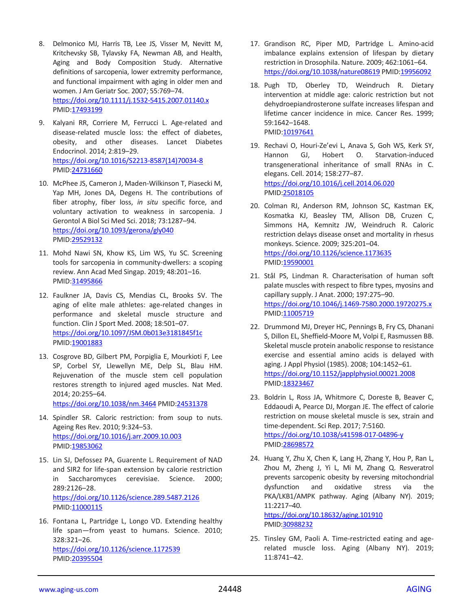- 8. Delmonico MJ, Harris TB, Lee JS, Visser M, Nevitt M, Kritchevsky SB, Tylavsky FA, Newman AB, and Health, Aging and Body Composition Study. Alternative definitions of sarcopenia, lower extremity performance, and functional impairment with aging in older men and women. J Am Geriatr Soc. 2007; 55:769–74. <https://doi.org/10.1111/j.1532-5415.2007.01140.x> PMID[:17493199](https://pubmed.ncbi.nlm.nih.gov/17493199)
- 9. Kalyani RR, Corriere M, Ferrucci L. Age-related and disease-related muscle loss: the effect of diabetes, obesity, and other diseases. Lancet Diabetes Endocrinol. 2014; 2:819–29. [https://doi.org/10.1016/S2213-8587\(14\)70034-8](https://doi.org/10.1016/S2213-8587(14)70034-8) PMID[:24731660](https://pubmed.ncbi.nlm.nih.gov/24731660)
- 10. McPhee JS, Cameron J, Maden-Wilkinson T, Piasecki M, Yap MH, Jones DA, Degens H. The contributions of fiber atrophy, fiber loss, *in situ* specific force, and voluntary activation to weakness in sarcopenia. J Gerontol A Biol Sci Med Sci. 2018; 73:1287–94. <https://doi.org/10.1093/gerona/gly040> PMID[:29529132](https://pubmed.ncbi.nlm.nih.gov/29529132)
- 11. Mohd Nawi SN, Khow KS, Lim WS, Yu SC. Screening tools for sarcopenia in community-dwellers: a scoping review. Ann Acad Med Singap. 2019; 48:201–16. PMID[:31495866](https://pubmed.ncbi.nlm.nih.gov/31495866)
- 12. Faulkner JA, Davis CS, Mendias CL, Brooks SV. The aging of elite male athletes: age-related changes in performance and skeletal muscle structure and function. Clin J Sport Med. 2008; 18:501–07. <https://doi.org/10.1097/JSM.0b013e3181845f1c> PMID[:19001883](https://pubmed.ncbi.nlm.nih.gov/19001883)
- 13. Cosgrove BD, Gilbert PM, Porpiglia E, Mourkioti F, Lee SP, Corbel SY, Llewellyn ME, Delp SL, Blau HM. Rejuvenation of the muscle stem cell population restores strength to injured aged muscles. Nat Med. 2014; 20:255–64.

<https://doi.org/10.1038/nm.3464> PMID[:24531378](https://pubmed.ncbi.nlm.nih.gov/24531378)

- 14. Spindler SR. Caloric restriction: from soup to nuts. Ageing Res Rev. 2010; 9:324–53. <https://doi.org/10.1016/j.arr.2009.10.003> PMID[:19853062](https://pubmed.ncbi.nlm.nih.gov/19853062)
- 15. Lin SJ, Defossez PA, Guarente L. Requirement of NAD and SIR2 for life-span extension by calorie restriction in Saccharomyces cerevisiae. Science. 2000; 289:2126–28. <https://doi.org/10.1126/science.289.5487.2126> PMID[:11000115](https://pubmed.ncbi.nlm.nih.gov/11000115)
- 16. Fontana L, Partridge L, Longo VD. Extending healthy life span—from yeast to humans. Science. 2010; 328:321–26. <https://doi.org/10.1126/science.1172539> PMID[:20395504](https://pubmed.ncbi.nlm.nih.gov/20395504)
- 17. Grandison RC, Piper MD, Partridge L. Amino-acid imbalance explains extension of lifespan by dietary restriction in Drosophila. Nature. 2009; 462:1061–64. <https://doi.org/10.1038/nature08619> PMI[D:19956092](https://pubmed.ncbi.nlm.nih.gov/19956092)
- 18. Pugh TD, Oberley TD, Weindruch R. Dietary intervention at middle age: caloric restriction but not dehydroepiandrosterone sulfate increases lifespan and lifetime cancer incidence in mice. Cancer Res. 1999; 59:1642–1648. PMI[D:10197641](https://pubmed.ncbi.nlm.nih.gov/10197641)
- 19. Rechavi O, Houri-Ze'evi L, Anava S, Goh WS, Kerk SY, Hannon GJ, Hobert O. Starvation-induced transgenerational inheritance of small RNAs in C. elegans. Cell. 2014; 158:277–87. <https://doi.org/10.1016/j.cell.2014.06.020> PMI[D:25018105](https://pubmed.ncbi.nlm.nih.gov/25018105)
- 20. Colman RJ, Anderson RM, Johnson SC, Kastman EK, Kosmatka KJ, Beasley TM, Allison DB, Cruzen C, Simmons HA, Kemnitz JW, Weindruch R. Caloric restriction delays disease onset and mortality in rhesus monkeys. Science. 2009; 325:201–04. <https://doi.org/10.1126/science.1173635> PMI[D:19590001](https://pubmed.ncbi.nlm.nih.gov/19590001)
- 21. Stål PS, Lindman R. Characterisation of human soft palate muscles with respect to fibre types, myosins and capillary supply. J Anat. 2000; 197:275–90. <https://doi.org/10.1046/j.1469-7580.2000.19720275.x> PMI[D:11005719](https://pubmed.ncbi.nlm.nih.gov/11005719)
- 22. Drummond MJ, Dreyer HC, Pennings B, Fry CS, Dhanani S, Dillon EL, Sheffield-Moore M, Volpi E, Rasmussen BB. Skeletal muscle protein anabolic response to resistance exercise and essential amino acids is delayed with aging. J Appl Physiol (1985). 2008; 104:1452–61. <https://doi.org/10.1152/japplphysiol.00021.2008> PMI[D:18323467](https://pubmed.ncbi.nlm.nih.gov/18323467)
- 23. Boldrin L, Ross JA, Whitmore C, Doreste B, Beaver C, Eddaoudi A, Pearce DJ, Morgan JE. The effect of calorie restriction on mouse skeletal muscle is sex, strain and time-dependent. Sci Rep. 2017; 7:5160. <https://doi.org/10.1038/s41598-017-04896-y> PMI[D:28698572](https://pubmed.ncbi.nlm.nih.gov/28698572)
- 24. Huang Y, Zhu X, Chen K, Lang H, Zhang Y, Hou P, Ran L, Zhou M, Zheng J, Yi L, Mi M, Zhang Q. Resveratrol prevents sarcopenic obesity by reversing mitochondrial dysfunction and oxidative stress via the PKA/LKB1/AMPK pathway. Aging (Albany NY). 2019; 11:2217–40.

<https://doi.org/10.18632/aging.101910> PMID[:30988232](https://pubmed.ncbi.nlm.nih.gov/30988232)

25. Tinsley GM, Paoli A. Time-restricted eating and agerelated muscle loss. Aging (Albany NY). 2019; 11:8741–42.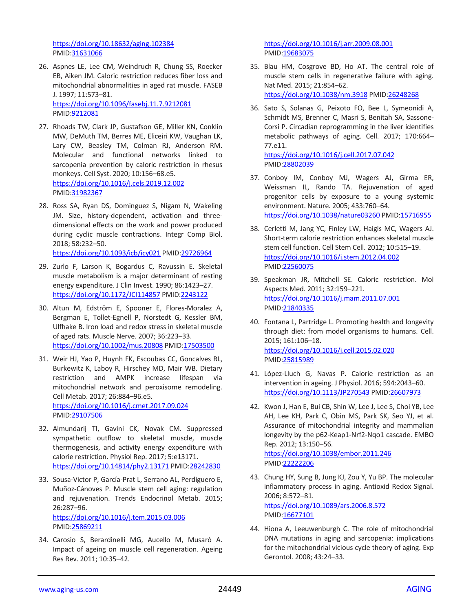<https://doi.org/10.18632/aging.102384> PMID[:31631066](https://pubmed.ncbi.nlm.nih.gov/31631066)

- 26. Aspnes LE, Lee CM, Weindruch R, Chung SS, Roecker EB, Aiken JM. Caloric restriction reduces fiber loss and mitochondrial abnormalities in aged rat muscle. FASEB J. 1997; 11:573–81. <https://doi.org/10.1096/fasebj.11.7.9212081> PMID[:9212081](https://pubmed.ncbi.nlm.nih.gov/9212081)
- 27. Rhoads TW, Clark JP, Gustafson GE, Miller KN, Conklin MW, DeMuth TM, Berres ME, Eliceiri KW, Vaughan LK, Lary CW, Beasley TM, Colman RJ, Anderson RM. Molecular and functional networks linked to sarcopenia prevention by caloric restriction in rhesus monkeys. Cell Syst. 2020; 10:156–68.e5. <https://doi.org/10.1016/j.cels.2019.12.002> PMID[:31982367](https://pubmed.ncbi.nlm.nih.gov/31982367)
- 28. Ross SA, Ryan DS, Dominguez S, Nigam N, Wakeling JM. Size, history-dependent, activation and threedimensional effects on the work and power produced during cyclic muscle contractions. Integr Comp Biol. 2018; 58:232–50. <https://doi.org/10.1093/icb/icy021> PMI[D:29726964](https://pubmed.ncbi.nlm.nih.gov/29726964)
- 29. Zurlo F, Larson K, Bogardus C, Ravussin E. Skeletal muscle metabolism is a major determinant of resting energy expenditure. J Clin Invest. 1990; 86:1423–27. <https://doi.org/10.1172/JCI114857> PMID[:2243122](https://pubmed.ncbi.nlm.nih.gov/2243122)
- 30. Altun M, Edström E, Spooner E, Flores-Moralez A, Bergman E, Tollet-Egnell P, Norstedt G, Kessler BM, Ulfhake B. Iron load and redox stress in skeletal muscle of aged rats. Muscle Nerve. 2007; 36:223–33. <https://doi.org/10.1002/mus.20808> PMID[:17503500](https://pubmed.ncbi.nlm.nih.gov/17503500)
- 31. Weir HJ, Yao P, Huynh FK, Escoubas CC, Goncalves RL, Burkewitz K, Laboy R, Hirschey MD, Mair WB. Dietary restriction and AMPK increase lifespan via mitochondrial network and peroxisome remodeling. Cell Metab. 2017; 26:884–96.e5. <https://doi.org/10.1016/j.cmet.2017.09.024> PMID[:29107506](https://pubmed.ncbi.nlm.nih.gov/29107506)
- 32. Almundarij TI, Gavini CK, Novak CM. Suppressed sympathetic outflow to skeletal muscle, muscle thermogenesis, and activity energy expenditure with calorie restriction. Physiol Rep. 2017; 5:e13171. <https://doi.org/10.14814/phy2.13171> PMI[D:28242830](https://pubmed.ncbi.nlm.nih.gov/28242830)
- 33. Sousa-Victor P, García-Prat L, Serrano AL, Perdiguero E, Muñoz-Cánoves P. Muscle stem cell aging: regulation and rejuvenation. Trends Endocrinol Metab. 2015; 26:287–96. <https://doi.org/10.1016/j.tem.2015.03.006> PMID[:25869211](https://pubmed.ncbi.nlm.nih.gov/25869211)
- 34. Carosio S, Berardinelli MG, Aucello M, Musarò A. Impact of ageing on muscle cell regeneration. Ageing Res Rev. 2011; 10:35–42.

<https://doi.org/10.1016/j.arr.2009.08.001> PMI[D:19683075](https://pubmed.ncbi.nlm.nih.gov/19683075)

35. Blau HM, Cosgrove BD, Ho AT. The central role of muscle stem cells in regenerative failure with aging. Nat Med. 2015; 21:854–62. <https://doi.org/10.1038/nm.3918> PMI[D:26248268](https://pubmed.ncbi.nlm.nih.gov/26248268)

36. Sato S, Solanas G, Peixoto FO, Bee L, Symeonidi A, Schmidt MS, Brenner C, Masri S, Benitah SA, Sassone-Corsi P. Circadian reprogramming in the liver identifies metabolic pathways of aging. Cell. 2017; 170:664– 77.e11. <https://doi.org/10.1016/j.cell.2017.07.042>

- PMI[D:28802039](https://pubmed.ncbi.nlm.nih.gov/28802039)
- 37. Conboy IM, Conboy MJ, Wagers AJ, Girma ER, Weissman IL, Rando TA. Rejuvenation of aged progenitor cells by exposure to a young systemic environment. Nature. 2005; 433:760–64. <https://doi.org/10.1038/nature03260> PMI[D:15716955](https://pubmed.ncbi.nlm.nih.gov/15716955)
- 38. Cerletti M, Jang YC, Finley LW, Haigis MC, Wagers AJ. Short-term calorie restriction enhances skeletal muscle stem cell function. Cell Stem Cell. 2012; 10:515–19. <https://doi.org/10.1016/j.stem.2012.04.002> PMI[D:22560075](https://pubmed.ncbi.nlm.nih.gov/22560075)
- 39. Speakman JR, Mitchell SE. Caloric restriction. Mol Aspects Med. 2011; 32:159–221. <https://doi.org/10.1016/j.mam.2011.07.001> PMI[D:21840335](https://pubmed.ncbi.nlm.nih.gov/21840335)
- 40. Fontana L, Partridge L. Promoting health and longevity through diet: from model organisms to humans. Cell. 2015; 161:106–18. <https://doi.org/10.1016/j.cell.2015.02.020> PMI[D:25815989](https://pubmed.ncbi.nlm.nih.gov/25815989)
- 41. López-Lluch G, Navas P. Calorie restriction as an intervention in ageing. J Physiol. 2016; 594:2043–60. <https://doi.org/10.1113/JP270543> PMID[:26607973](https://pubmed.ncbi.nlm.nih.gov/26607973)
- 42. Kwon J, Han E, Bui CB, Shin W, Lee J, Lee S, Choi YB, Lee AH, Lee KH, Park C, Obin MS, Park SK, Seo YJ, et al. Assurance of mitochondrial integrity and mammalian longevity by the p62-Keap1-Nrf2-Nqo1 cascade. EMBO Rep. 2012; 13:150–56. <https://doi.org/10.1038/embor.2011.246> PMI[D:22222206](https://pubmed.ncbi.nlm.nih.gov/22222206)
- 43. Chung HY, Sung B, Jung KJ, Zou Y, Yu BP. The molecular inflammatory process in aging. Antioxid Redox Signal. 2006; 8:572–81. <https://doi.org/10.1089/ars.2006.8.572> PMI[D:16677101](https://pubmed.ncbi.nlm.nih.gov/16677101)
- 44. Hiona A, Leeuwenburgh C. The role of mitochondrial DNA mutations in aging and sarcopenia: implications for the mitochondrial vicious cycle theory of aging. Exp Gerontol. 2008; 43:24–33.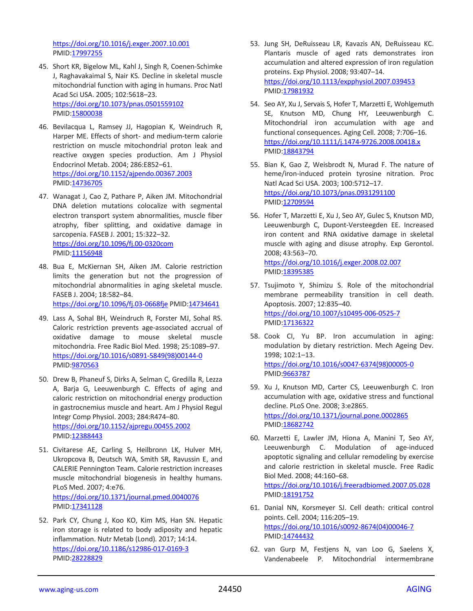<https://doi.org/10.1016/j.exger.2007.10.001> PMID[:17997255](https://pubmed.ncbi.nlm.nih.gov/17997255)

- 45. Short KR, Bigelow ML, Kahl J, Singh R, Coenen-Schimke J, Raghavakaimal S, Nair KS. Decline in skeletal muscle mitochondrial function with aging in humans. Proc Natl Acad Sci USA. 2005; 102:5618–23. <https://doi.org/10.1073/pnas.0501559102> PMID[:15800038](https://pubmed.ncbi.nlm.nih.gov/15800038)
- 46. Bevilacqua L, Ramsey JJ, Hagopian K, Weindruch R, Harper ME. Effects of short- and medium-term calorie restriction on muscle mitochondrial proton leak and reactive oxygen species production. Am J Physiol Endocrinol Metab. 2004; 286:E852–61. <https://doi.org/10.1152/ajpendo.00367.2003> PMID[:14736705](https://pubmed.ncbi.nlm.nih.gov/14736705)
- 47. Wanagat J, Cao Z, Pathare P, Aiken JM. Mitochondrial DNA deletion mutations colocalize with segmental electron transport system abnormalities, muscle fiber atrophy, fiber splitting, and oxidative damage in sarcopenia. FASEB J. 2001; 15:322–32. <https://doi.org/10.1096/fj.00-0320com> PMID[:11156948](https://pubmed.ncbi.nlm.nih.gov/11156948)
- 48. Bua E, McKiernan SH, Aiken JM. Calorie restriction limits the generation but not the progression of mitochondrial abnormalities in aging skeletal muscle. FASEB J. 2004; 18:582–84. <https://doi.org/10.1096/fj.03-0668fje> PMID[:14734641](https://pubmed.ncbi.nlm.nih.gov/14734641)
- 49. Lass A, Sohal BH, Weindruch R, Forster MJ, Sohal RS. Caloric restriction prevents age-associated accrual of oxidative damage to mouse skeletal muscle mitochondria. Free Radic Biol Med. 1998; 25:1089–97. [https://doi.org/10.1016/s0891-5849\(98\)00144-0](https://doi.org/10.1016/s0891-5849(98)00144-0) PMID[:9870563](https://pubmed.ncbi.nlm.nih.gov/9870563)
- 50. Drew B, Phaneuf S, Dirks A, Selman C, Gredilla R, Lezza A, Barja G, Leeuwenburgh C. Effects of aging and caloric restriction on mitochondrial energy production in gastrocnemius muscle and heart. Am J Physiol Regul Integr Comp Physiol. 2003; 284:R474–80. <https://doi.org/10.1152/ajpregu.00455.2002> PMID[:12388443](https://pubmed.ncbi.nlm.nih.gov/12388443)
- 51. Civitarese AE, Carling S, Heilbronn LK, Hulver MH, Ukropcova B, Deutsch WA, Smith SR, Ravussin E, and CALERIE Pennington Team. Calorie restriction increases muscle mitochondrial biogenesis in healthy humans. PLoS Med. 2007; 4:e76. <https://doi.org/10.1371/journal.pmed.0040076> PMID[:17341128](https://pubmed.ncbi.nlm.nih.gov/17341128)
- 52. Park CY, Chung J, Koo KO, Kim MS, Han SN. Hepatic iron storage is related to body adiposity and hepatic inflammation. Nutr Metab (Lond). 2017; 14:14. <https://doi.org/10.1186/s12986-017-0169-3> PMID[:28228829](https://pubmed.ncbi.nlm.nih.gov/28228829)
- 53. Jung SH, DeRuisseau LR, Kavazis AN, DeRuisseau KC. Plantaris muscle of aged rats demonstrates iron accumulation and altered expression of iron regulation proteins. Exp Physiol. 2008; 93:407–14. <https://doi.org/10.1113/expphysiol.2007.039453> PMI[D:17981932](https://pubmed.ncbi.nlm.nih.gov/17981932)
- 54. Seo AY, Xu J, Servais S, Hofer T, Marzetti E, Wohlgemuth SE, Knutson MD, Chung HY, Leeuwenburgh C. Mitochondrial iron accumulation with age and functional consequences. Aging Cell. 2008; 7:706–16. <https://doi.org/10.1111/j.1474-9726.2008.00418.x> PMI[D:18843794](https://pubmed.ncbi.nlm.nih.gov/18843794)
- 55. Bian K, Gao Z, Weisbrodt N, Murad F. The nature of heme/iron-induced protein tyrosine nitration. Proc Natl Acad Sci USA. 2003; 100:5712–17. <https://doi.org/10.1073/pnas.0931291100> PMI[D:12709594](https://pubmed.ncbi.nlm.nih.gov/12709594)
- 56. Hofer T, Marzetti E, Xu J, Seo AY, Gulec S, Knutson MD, Leeuwenburgh C, Dupont-Versteegden EE. Increased iron content and RNA oxidative damage in skeletal muscle with aging and disuse atrophy. Exp Gerontol. 2008; 43:563–70. <https://doi.org/10.1016/j.exger.2008.02.007> PMI[D:18395385](https://pubmed.ncbi.nlm.nih.gov/18395385)
- 57. Tsujimoto Y, Shimizu S. Role of the mitochondrial membrane permeability transition in cell death. Apoptosis. 2007; 12:835–40. <https://doi.org/10.1007/s10495-006-0525-7> PMI[D:17136322](https://pubmed.ncbi.nlm.nih.gov/17136322)
- 58. Cook CI, Yu BP. Iron accumulation in aging: modulation by dietary restriction. Mech Ageing Dev. 1998; 102:1–13. [https://doi.org/10.1016/s0047-6374\(98\)00005-0](https://doi.org/10.1016/s0047-6374(98)00005-0) PMI[D:9663787](https://pubmed.ncbi.nlm.nih.gov/9663787)
- 59. Xu J, Knutson MD, Carter CS, Leeuwenburgh C. Iron accumulation with age, oxidative stress and functional decline. PLoS One. 2008; 3:e2865. <https://doi.org/10.1371/journal.pone.0002865> PMI[D:18682742](https://pubmed.ncbi.nlm.nih.gov/18682742)
- 60. Marzetti E, Lawler JM, Hiona A, Manini T, Seo AY, Leeuwenburgh C. Modulation of age-induced apoptotic signaling and cellular remodeling by exercise and calorie restriction in skeletal muscle. Free Radic Biol Med. 2008; 44:160–68. <https://doi.org/10.1016/j.freeradbiomed.2007.05.028> PMI[D:18191752](https://pubmed.ncbi.nlm.nih.gov/18191752)
- 61. Danial NN, Korsmeyer SJ. Cell death: critical control points. Cell. 2004; 116:205–19. [https://doi.org/10.1016/s0092-8674\(04\)00046-7](https://doi.org/10.1016/s0092-8674(04)00046-7) PMI[D:14744432](https://pubmed.ncbi.nlm.nih.gov/14744432)
- 62. van Gurp M, Festjens N, van Loo G, Saelens X, Vandenabeele P. Mitochondrial intermembrane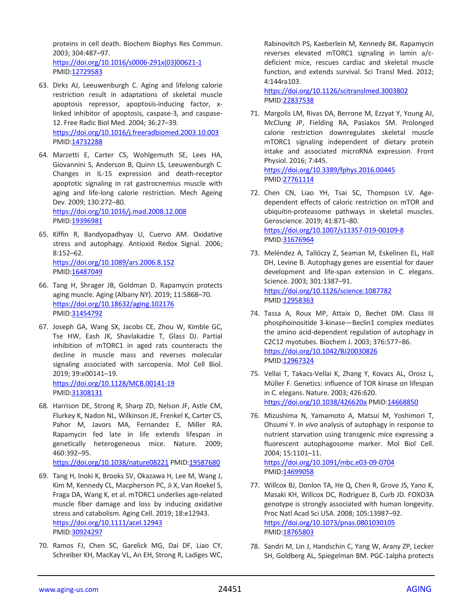proteins in cell death. Biochem Biophys Res Commun. 2003; 304:487–97.

[https://doi.org/10.1016/s0006-291x\(03\)00621-1](https://doi.org/10.1016/s0006-291x(03)00621-1) PMID[:12729583](https://pubmed.ncbi.nlm.nih.gov/12729583)

- 63. Dirks AJ, Leeuwenburgh C. Aging and lifelong calorie restriction result in adaptations of skeletal muscle apoptosis repressor, apoptosis-inducing factor, xlinked inhibitor of apoptosis, caspase-3, and caspase-12. Free Radic Biol Med. 2004; 36:27–39. <https://doi.org/10.1016/j.freeradbiomed.2003.10.003> PMID[:14732288](https://pubmed.ncbi.nlm.nih.gov/14732288)
- 64. Marzetti E, Carter CS, Wohlgemuth SE, Lees HA, Giovannini S, Anderson B, Quinn LS, Leeuwenburgh C. Changes in IL-15 expression and death-receptor apoptotic signaling in rat gastrocnemius muscle with aging and life-long calorie restriction. Mech Ageing Dev. 2009; 130:272–80. <https://doi.org/10.1016/j.mad.2008.12.008> PMID[:19396981](https://pubmed.ncbi.nlm.nih.gov/19396981)
- 65. Kiffin R, Bandyopadhyay U, Cuervo AM. Oxidative stress and autophagy. Antioxid Redox Signal. 2006; 8:152–62. <https://doi.org/10.1089/ars.2006.8.152> PMID[:16487049](https://pubmed.ncbi.nlm.nih.gov/16487049)
- 66. Tang H, Shrager JB, Goldman D. Rapamycin protects aging muscle. Aging (Albany NY). 2019; 11:5868–70. <https://doi.org/10.18632/aging.102176> PMID[:31454792](https://pubmed.ncbi.nlm.nih.gov/31454792)
- 67. Joseph GA, Wang SX, Jacobs CE, Zhou W, Kimble GC, Tse HW, Eash JK, Shavlakadze T, Glass DJ. Partial inhibition of mTORC1 in aged rats counteracts the decline in muscle mass and reverses molecular signaling associated with sarcopenia. Mol Cell Biol. 2019; 39:e00141–19. <https://doi.org/10.1128/MCB.00141-19> PMID[:31308131](https://pubmed.ncbi.nlm.nih.gov/31308131)
- 68. Harrison DE, Strong R, Sharp ZD, Nelson JF, Astle CM, Flurkey K, Nadon NL, Wilkinson JE, Frenkel K, Carter CS, Pahor M, Javors MA, Fernandez E, Miller RA. Rapamycin fed late in life extends lifespan in genetically heterogeneous mice. Nature. 2009; 460:392–95.

<https://doi.org/10.1038/nature08221> PMID[:19587680](https://pubmed.ncbi.nlm.nih.gov/19587680)

- 69. Tang H, Inoki K, Brooks SV, Okazawa H, Lee M, Wang J, Kim M, Kennedy CL, Macpherson PC, Ji X, Van Roekel S, Fraga DA, Wang K, et al. mTORC1 underlies age-related muscle fiber damage and loss by inducing oxidative stress and catabolism. Aging Cell. 2019; 18:e12943. <https://doi.org/10.1111/acel.12943> PMID[:30924297](https://pubmed.ncbi.nlm.nih.gov/30924297)
- 70. Ramos FJ, Chen SC, Garelick MG, Dai DF, Liao CY, Schreiber KH, MacKay VL, An EH, Strong R, Ladiges WC,

Rabinovitch PS, Kaeberlein M, Kennedy BK. Rapamycin reverses elevated mTORC1 signaling in lamin a/cdeficient mice, rescues cardiac and skeletal muscle function, and extends survival. Sci Transl Med. 2012; 4:144ra103.

<https://doi.org/10.1126/scitranslmed.3003802> PMI[D:22837538](https://pubmed.ncbi.nlm.nih.gov/22837538)

71. Margolis LM, Rivas DA, Berrone M, Ezzyat Y, Young AJ, McClung JP, Fielding RA, Pasiakos SM. Prolonged calorie restriction downregulates skeletal muscle mTORC1 signaling independent of dietary protein intake and associated microRNA expression. Front Physiol. 2016; 7:445.

<https://doi.org/10.3389/fphys.2016.00445> PMI[D:27761114](https://pubmed.ncbi.nlm.nih.gov/27761114)

- 72. Chen CN, Liao YH, Tsai SC, Thompson LV. Agedependent effects of caloric restriction on mTOR and ubiquitin-proteasome pathways in skeletal muscles. Geroscience. 2019; 41:871–80. <https://doi.org/10.1007/s11357-019-00109-8> PMI[D:31676964](https://pubmed.ncbi.nlm.nih.gov/31676964)
- 73. Meléndez A, Tallóczy Z, Seaman M, Eskelinen EL, Hall DH, Levine B. Autophagy genes are essential for dauer development and life-span extension in C. elegans. Science. 2003; 301:1387–91. <https://doi.org/10.1126/science.1087782> PMI[D:12958363](https://pubmed.ncbi.nlm.nih.gov/12958363)
- 74. Tassa A, Roux MP, Attaix D, Bechet DM. Class III phosphoinositide 3-kinase—Beclin1 complex mediates the amino acid-dependent regulation of autophagy in C2C12 myotubes. Biochem J. 2003; 376:577–86. <https://doi.org/10.1042/BJ20030826> PMI[D:12967324](https://pubmed.ncbi.nlm.nih.gov/12967324)
- 75. Vellai T, Takacs-Vellai K, Zhang Y, Kovacs AL, Orosz L, Müller F. Genetics: influence of TOR kinase on lifespan in C. elegans. Nature. 2003; 426:620. <https://doi.org/10.1038/426620a> PMID[:14668850](https://pubmed.ncbi.nlm.nih.gov/14668850)
- 76. Mizushima N, Yamamoto A, Matsui M, Yoshimori T, Ohsumi Y. *In vivo* analysis of autophagy in response to nutrient starvation using transgenic mice expressing a fluorescent autophagosome marker. Mol Biol Cell. 2004; 15:1101–11.

<https://doi.org/10.1091/mbc.e03-09-0704> PMI[D:14699058](https://pubmed.ncbi.nlm.nih.gov/14699058)

- 77. Willcox BJ, Donlon TA, He Q, Chen R, Grove JS, Yano K, Masaki KH, Willcox DC, Rodriguez B, Curb JD. FOXO3A genotype is strongly associated with human longevity. Proc Natl Acad Sci USA. 2008; 105:13987–92. <https://doi.org/10.1073/pnas.0801030105> PMI[D:18765803](https://pubmed.ncbi.nlm.nih.gov/18765803)
- 78. Sandri M, Lin J, Handschin C, Yang W, Arany ZP, Lecker SH, Goldberg AL, Spiegelman BM. PGC-1alpha protects